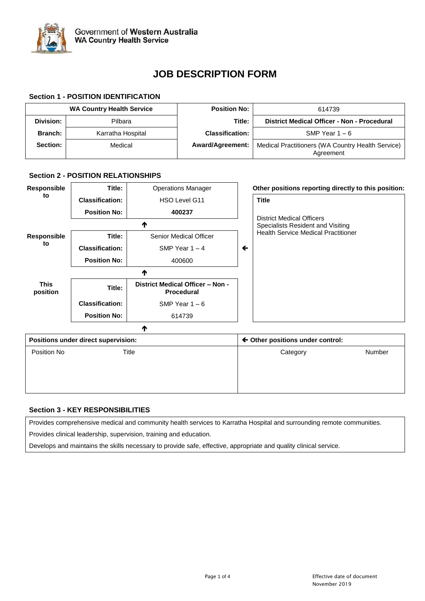

# **JOB DESCRIPTION FORM**

# **Section 1 - POSITION IDENTIFICATION**

|                 | <b>WA Country Health Service</b> | <b>Position No:</b>     | 614739                                                         |
|-----------------|----------------------------------|-------------------------|----------------------------------------------------------------|
| Division:       | Pilbara                          | Title:                  | District Medical Officer - Non - Procedural                    |
| <b>Branch:</b>  | Karratha Hospital                | <b>Classification:</b>  | SMP Year $1 - 6$                                               |
| <b>Section:</b> | Medical                          | <b>Award/Agreement:</b> | Medical Practitioners (WA Country Health Service)<br>Agreement |

# **Section 2 - POSITION RELATIONSHIPS**

| Responsible             | Title:                              | <b>Operations Manager</b>                             |              | Other positions reporting directly to this position: |        |
|-------------------------|-------------------------------------|-------------------------------------------------------|--------------|------------------------------------------------------|--------|
| to                      | <b>Classification:</b>              | HSO Level G11                                         |              | <b>Title</b>                                         |        |
|                         | <b>Position No:</b>                 | 400237                                                |              | <b>District Medical Officers</b>                     |        |
| ₼                       |                                     |                                                       |              | Specialists Resident and Visiting                    |        |
| <b>Responsible</b>      | Title:                              | <b>Senior Medical Officer</b>                         |              | <b>Health Service Medical Practitioner</b>           |        |
| to                      | <b>Classification:</b>              | SMP Year $1 - 4$                                      | $\leftarrow$ |                                                      |        |
|                         | <b>Position No:</b>                 | 400600                                                |              |                                                      |        |
|                         |                                     | Λ                                                     |              |                                                      |        |
| <b>This</b><br>position | Title:                              | District Medical Officer - Non -<br><b>Procedural</b> |              |                                                      |        |
|                         | <b>Classification:</b>              | SMP Year $1 - 6$                                      |              |                                                      |        |
|                         | <b>Position No:</b>                 | 614739                                                |              |                                                      |        |
|                         |                                     | ₼                                                     |              |                                                      |        |
|                         | Positions under direct supervision: |                                                       |              | $\leftarrow$ Other positions under control:          |        |
| Position No             |                                     | Title                                                 |              | Category                                             | Number |
|                         |                                     |                                                       |              |                                                      |        |

# **Section 3 - KEY RESPONSIBILITIES**

Provides comprehensive medical and community health services to Karratha Hospital and surrounding remote communities.

Provides clinical leadership, supervision, training and education.

Develops and maintains the skills necessary to provide safe, effective, appropriate and quality clinical service.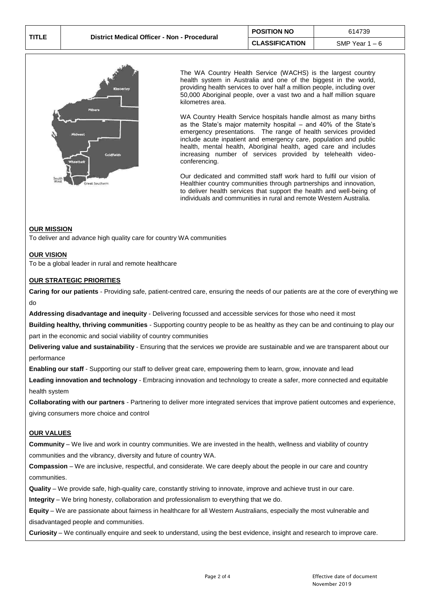

The WA Country Health Service (WACHS) is the largest country health system in Australia and one of the biggest in the world, providing health services to over half a million people, including over 50,000 Aboriginal people, over a vast two and a half million square kilometres area.

WA Country Health Service hospitals handle almost as many births as the State's major maternity hospital – and 40% of the State's emergency presentations. The range of health services provided include acute inpatient and emergency care, population and public health, mental health, Aboriginal health, aged care and includes increasing number of services provided by telehealth videoconferencing.

Our dedicated and committed staff work hard to fulfil our vision of Healthier country communities through partnerships and innovation*,* to deliver health services that support the health and well-being of individuals and communities in rural and remote Western Australia.

#### **OUR MISSION**

To deliver and advance high quality care for country WA communities

### **OUR VISION**

To be a global leader in rural and remote healthcare

#### **OUR STRATEGIC PRIORITIES**

**Caring for our patients** - Providing safe, patient-centred care, ensuring the needs of our patients are at the core of everything we do

**Addressing disadvantage and inequity** - Delivering focussed and accessible services for those who need it most

**Building healthy, thriving communities** - Supporting country people to be as healthy as they can be and continuing to play our part in the economic and social viability of country communities

**Delivering value and sustainability** - Ensuring that the services we provide are sustainable and we are transparent about our performance

**Enabling our staff** - Supporting our staff to deliver great care, empowering them to learn, grow, innovate and lead

**Leading innovation and technology** - Embracing innovation and technology to create a safer, more connected and equitable health system

**Collaborating with our partners** - Partnering to deliver more integrated services that improve patient outcomes and experience, giving consumers more choice and control

## **OUR VALUES**

**Community** – We live and work in country communities. We are invested in the health, wellness and viability of country communities and the vibrancy, diversity and future of country WA.

**Compassion** – We are inclusive, respectful, and considerate. We care deeply about the people in our care and country communities.

**Quality** – We provide safe, high-quality care, constantly striving to innovate, improve and achieve trust in our care.

**Integrity** – We bring honesty, collaboration and professionalism to everything that we do.

**Equity** – We are passionate about fairness in healthcare for all Western Australians, especially the most vulnerable and disadvantaged people and communities.

**Curiosity** – We continually enquire and seek to understand, using the best evidence, insight and research to improve care.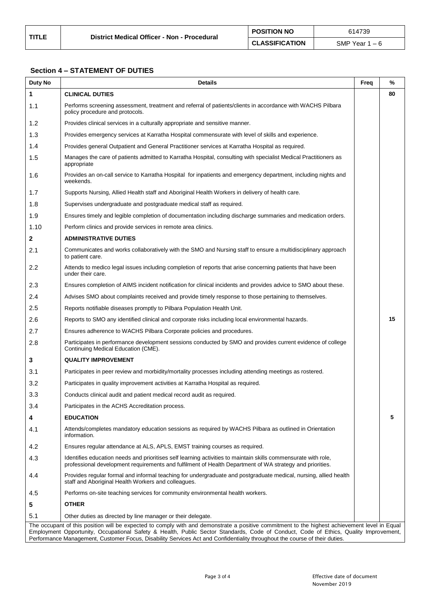# **Section 4 – STATEMENT OF DUTIES**

| Duty No                                                                                                                                       | <b>Details</b>                                                                                                                                                                                                                                                     | Freq | %  |  |  |
|-----------------------------------------------------------------------------------------------------------------------------------------------|--------------------------------------------------------------------------------------------------------------------------------------------------------------------------------------------------------------------------------------------------------------------|------|----|--|--|
| 1                                                                                                                                             | <b>CLINICAL DUTIES</b>                                                                                                                                                                                                                                             |      | 80 |  |  |
| 1.1                                                                                                                                           | Performs screening assessment, treatment and referral of patients/clients in accordance with WACHS Pilbara<br>policy procedure and protocols.                                                                                                                      |      |    |  |  |
| 1.2                                                                                                                                           | Provides clinical services in a culturally appropriate and sensitive manner.                                                                                                                                                                                       |      |    |  |  |
| 1.3                                                                                                                                           | Provides emergency services at Karratha Hospital commensurate with level of skills and experience.                                                                                                                                                                 |      |    |  |  |
| 1.4                                                                                                                                           | Provides general Outpatient and General Practitioner services at Karratha Hospital as required.                                                                                                                                                                    |      |    |  |  |
| 1.5                                                                                                                                           | Manages the care of patients admitted to Karratha Hospital, consulting with specialist Medical Practitioners as<br>appropriate                                                                                                                                     |      |    |  |  |
| 1.6                                                                                                                                           | Provides an on-call service to Karratha Hospital for inpatients and emergency department, including nights and<br>weekends.                                                                                                                                        |      |    |  |  |
| 1.7                                                                                                                                           | Supports Nursing, Allied Health staff and Aboriginal Health Workers in delivery of health care.                                                                                                                                                                    |      |    |  |  |
| 1.8                                                                                                                                           | Supervises undergraduate and postgraduate medical staff as required.                                                                                                                                                                                               |      |    |  |  |
| 1.9                                                                                                                                           | Ensures timely and legible completion of documentation including discharge summaries and medication orders.                                                                                                                                                        |      |    |  |  |
| 1.10                                                                                                                                          | Perform clinics and provide services in remote area clinics.                                                                                                                                                                                                       |      |    |  |  |
| $\mathbf{2}$                                                                                                                                  | <b>ADMINISTRATIVE DUTIES</b>                                                                                                                                                                                                                                       |      |    |  |  |
| 2.1                                                                                                                                           | Communicates and works collaboratively with the SMO and Nursing staff to ensure a multidisciplinary approach<br>to patient care.                                                                                                                                   |      |    |  |  |
| 2.2                                                                                                                                           | Attends to medico legal issues including completion of reports that arise concerning patients that have been<br>under their care.                                                                                                                                  |      |    |  |  |
| 2.3                                                                                                                                           | Ensures completion of AIMS incident notification for clinical incidents and provides advice to SMO about these.                                                                                                                                                    |      |    |  |  |
| 2.4                                                                                                                                           | Advises SMO about complaints received and provide timely response to those pertaining to themselves.                                                                                                                                                               |      |    |  |  |
| 2.5                                                                                                                                           | Reports notifiable diseases promptly to Pilbara Population Health Unit.                                                                                                                                                                                            |      |    |  |  |
| 2.6                                                                                                                                           | Reports to SMO any identified clinical and corporate risks including local environmental hazards.                                                                                                                                                                  |      | 15 |  |  |
| 2.7                                                                                                                                           | Ensures adherence to WACHS Pilbara Corporate policies and procedures.                                                                                                                                                                                              |      |    |  |  |
| 2.8                                                                                                                                           | Participates in performance development sessions conducted by SMO and provides current evidence of college<br>Continuing Medical Education (CME).                                                                                                                  |      |    |  |  |
| 3                                                                                                                                             | <b>QUALITY IMPROVEMENT</b>                                                                                                                                                                                                                                         |      |    |  |  |
| 3.1                                                                                                                                           | Participates in peer review and morbidity/mortality processes including attending meetings as rostered.                                                                                                                                                            |      |    |  |  |
| 3.2                                                                                                                                           | Participates in quality improvement activities at Karratha Hospital as required.                                                                                                                                                                                   |      |    |  |  |
| 3.3                                                                                                                                           | Conducts clinical audit and patient medical record audit as required.                                                                                                                                                                                              |      |    |  |  |
| 3.4                                                                                                                                           | Participates in the ACHS Accreditation process.                                                                                                                                                                                                                    |      |    |  |  |
| 4                                                                                                                                             | <b>EDUCATION</b>                                                                                                                                                                                                                                                   |      | 5  |  |  |
| 4.1                                                                                                                                           | Attends/completes mandatory education sessions as required by WACHS Pilbara as outlined in Orientation<br>information.                                                                                                                                             |      |    |  |  |
| 4.2                                                                                                                                           | Ensures regular attendance at ALS, APLS, EMST training courses as reguired.                                                                                                                                                                                        |      |    |  |  |
| 4.3                                                                                                                                           | Identifies education needs and prioritises self learning activities to maintain skills commensurate with role,<br>professional development requirements and fulfilment of Health Department of WA strategy and priorities.                                         |      |    |  |  |
| 4.4                                                                                                                                           | Provides regular formal and informal teaching for undergraduate and postgraduate medical, nursing, allied health<br>staff and Aboriginal Health Workers and colleagues.                                                                                            |      |    |  |  |
| 4.5                                                                                                                                           | Performs on-site teaching services for community environmental health workers.                                                                                                                                                                                     |      |    |  |  |
| 5                                                                                                                                             | <b>OTHER</b>                                                                                                                                                                                                                                                       |      |    |  |  |
| 5.1                                                                                                                                           | Other duties as directed by line manager or their delegate.                                                                                                                                                                                                        |      |    |  |  |
| The occupant of this position will be expected to comply with and demonstrate a positive commitment to the highest achievement level in Equal |                                                                                                                                                                                                                                                                    |      |    |  |  |
|                                                                                                                                               | Employment Opportunity, Occupational Safety & Health, Public Sector Standards, Code of Conduct, Code of Ethics, Quality Improvement,<br>Performance Management, Customer Focus, Disability Services Act and Confidentiality throughout the course of their duties. |      |    |  |  |